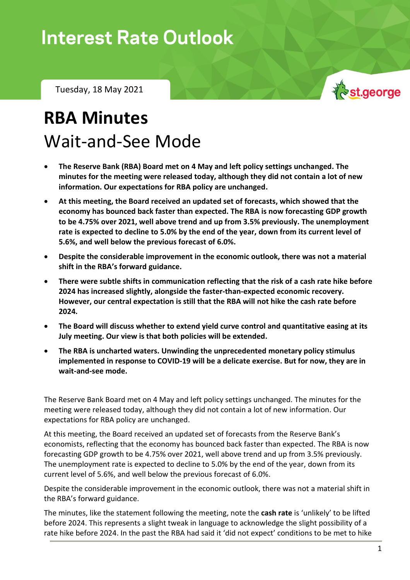## **Interest Rate Outlook**

Tuesday, 18 May 2021

## **RBA Minutes** Wait-and-See Mode

- **The Reserve Bank (RBA) Board met on 4 May and left policy settings unchanged. The minutes for the meeting were released today, although they did not contain a lot of new information. Our expectations for RBA policy are unchanged.**
- **At this meeting, the Board received an updated set of forecasts, which showed that the economy has bounced back faster than expected. The RBA is now forecasting GDP growth to be 4.75% over 2021, well above trend and up from 3.5% previously. The unemployment rate is expected to decline to 5.0% by the end of the year, down from its current level of 5.6%, and well below the previous forecast of 6.0%.**
- **Despite the considerable improvement in the economic outlook, there was not a material shift in the RBA's forward guidance.**
- **There were subtle shifts in communication reflecting that the risk of a cash rate hike before 2024 has increased slightly, alongside the faster-than-expected economic recovery. However, our central expectation is still that the RBA will not hike the cash rate before 2024.**
- **The Board will discuss whether to extend yield curve control and quantitative easing at its July meeting. Our view is that both policies will be extended.**
- **The RBA is uncharted waters. Unwinding the unprecedented monetary policy stimulus implemented in response to COVID-19 will be a delicate exercise. But for now, they are in wait-and-see mode.**

The Reserve Bank Board met on 4 May and left policy settings unchanged. The minutes for the meeting were released today, although they did not contain a lot of new information. Our expectations for RBA policy are unchanged.

At this meeting, the Board received an updated set of forecasts from the Reserve Bank's economists, reflecting that the economy has bounced back faster than expected. The RBA is now forecasting GDP growth to be 4.75% over 2021, well above trend and up from 3.5% previously. The unemployment rate is expected to decline to 5.0% by the end of the year, down from its current level of 5.6%, and well below the previous forecast of 6.0%.

Despite the considerable improvement in the economic outlook, there was not a material shift in the RBA's forward guidance.

The minutes, like the statement following the meeting, note the **cash rate** is 'unlikely' to be lifted before 2024. This represents a slight tweak in language to acknowledge the slight possibility of a rate hike before 2024. In the past the RBA had said it 'did not expect' conditions to be met to hike

st.george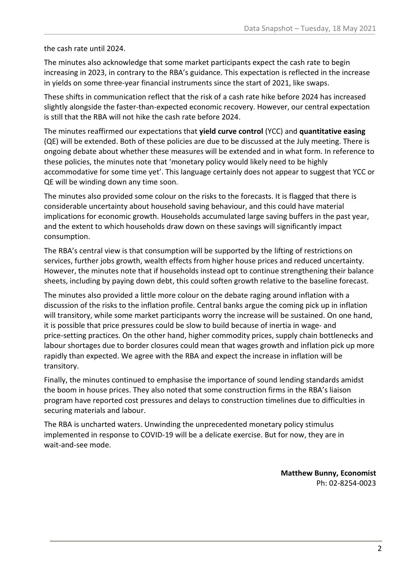the cash rate until 2024.

The minutes also acknowledge that some market participants expect the cash rate to begin increasing in 2023, in contrary to the RBA's guidance. This expectation is reflected in the increase in yields on some three-year financial instruments since the start of 2021, like swaps.

These shifts in communication reflect that the risk of a cash rate hike before 2024 has increased slightly alongside the faster-than-expected economic recovery. However, our central expectation is still that the RBA will not hike the cash rate before 2024.

The minutes reaffirmed our expectations that **yield curve control** (YCC) and **quantitative easing** (QE) will be extended. Both of these policies are due to be discussed at the July meeting. There is ongoing debate about whether these measures will be extended and in what form. In reference to these policies, the minutes note that 'monetary policy would likely need to be highly accommodative for some time yet'. This language certainly does not appear to suggest that YCC or QE will be winding down any time soon.

The minutes also provided some colour on the risks to the forecasts. It is flagged that there is considerable uncertainty about household saving behaviour, and this could have material implications for economic growth. Households accumulated large saving buffers in the past year, and the extent to which households draw down on these savings will significantly impact consumption.

The RBA's central view is that consumption will be supported by the lifting of restrictions on services, further jobs growth, wealth effects from higher house prices and reduced uncertainty. However, the minutes note that if households instead opt to continue strengthening their balance sheets, including by paying down debt, this could soften growth relative to the baseline forecast.

The minutes also provided a little more colour on the debate raging around inflation with a discussion of the risks to the inflation profile. Central banks argue the coming pick up in inflation will transitory, while some market participants worry the increase will be sustained. On one hand, it is possible that price pressures could be slow to build because of inertia in wage- and price-setting practices. On the other hand, higher commodity prices, supply chain bottlenecks and labour shortages due to border closures could mean that wages growth and inflation pick up more rapidly than expected. We agree with the RBA and expect the increase in inflation will be transitory.

Finally, the minutes continued to emphasise the importance of sound lending standards amidst the boom in house prices. They also noted that some construction firms in the RBA's liaison program have reported cost pressures and delays to construction timelines due to difficulties in securing materials and labour.

The RBA is uncharted waters. Unwinding the unprecedented monetary policy stimulus implemented in response to COVID-19 will be a delicate exercise. But for now, they are in wait-and-see mode.

> **Matthew Bunny, Economist** Ph: 02-8254-0023